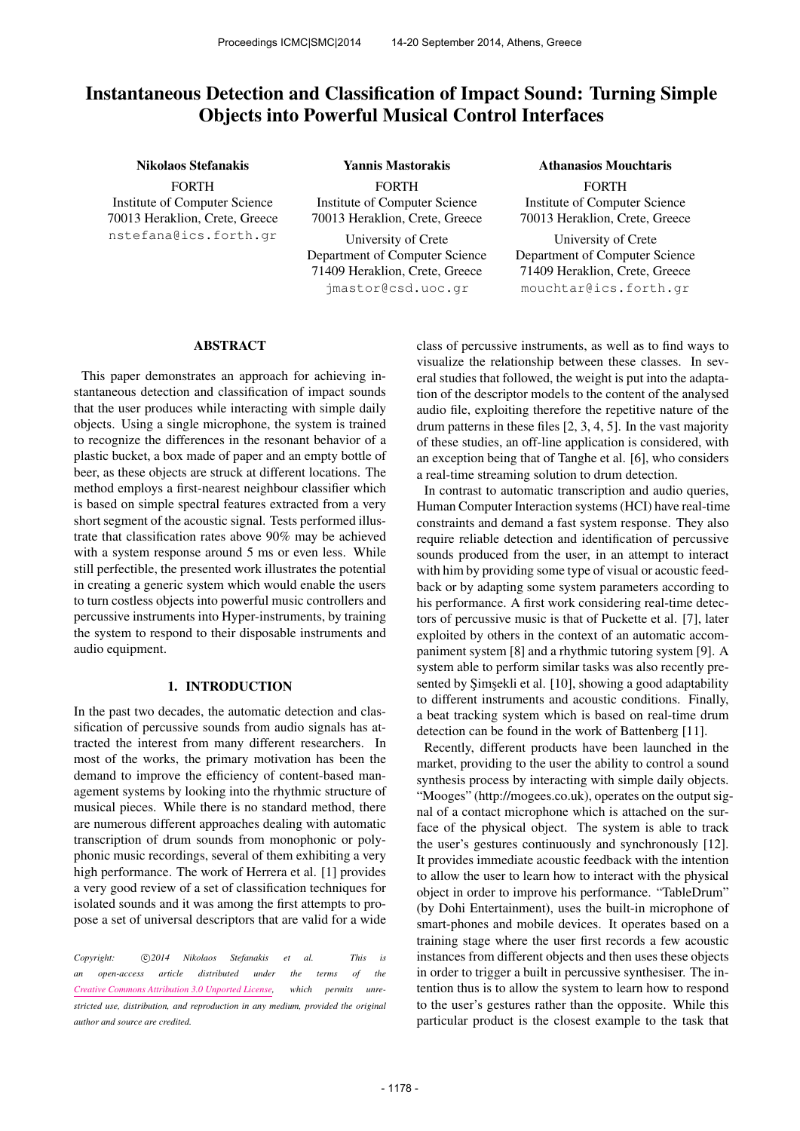# Instantaneous Detection and Classification of Impact Sound: Turning Simple Objects into Powerful Musical Control Interfaces

#### Nikolaos Stefanakis

FORTH Institute of Computer Science 70013 Heraklion, Crete, Greece [nstefana@ics.forth.gr](mailto:nstefana@ics.forth.gr)

FORTH Institute of Computer Science 70013 Heraklion, Crete, Greece University of Crete Department of Computer Science 71409 Heraklion, Crete, Greece [jmastor@csd.uoc.gr](mailto:jmastor@csd.uoc.gr)

Yannis Mastorakis

Athanasios Mouchtaris

FORTH Institute of Computer Science 70013 Heraklion, Crete, Greece

University of Crete Department of Computer Science 71409 Heraklion, Crete, Greece [mouchtar@ics.forth.gr](mailto:mouchtar@ics.forth.gr)

# ABSTRACT

This paper demonstrates an approach for achieving instantaneous detection and classification of impact sounds that the user produces while interacting with simple daily objects. Using a single microphone, the system is trained to recognize the differences in the resonant behavior of a plastic bucket, a box made of paper and an empty bottle of beer, as these objects are struck at different locations. The method employs a first-nearest neighbour classifier which is based on simple spectral features extracted from a very short segment of the acoustic signal. Tests performed illustrate that classification rates above 90% may be achieved with a system response around 5 ms or even less. While still perfectible, the presented work illustrates the potential in creating a generic system which would enable the users to turn costless objects into powerful music controllers and percussive instruments into Hyper-instruments, by training the system to respond to their disposable instruments and audio equipment.

# 1. INTRODUCTION

In the past two decades, the automatic detection and classification of percussive sounds from audio signals has attracted the interest from many different researchers. In most of the works, the primary motivation has been the demand to improve the efficiency of content-based management systems by looking into the rhythmic structure of musical pieces. While there is no standard method, there are numerous different approaches dealing with automatic transcription of drum sounds from monophonic or polyphonic music recordings, several of them exhibiting a very high performance. The work of Herrera et al. [1] provides a very good review of a set of classification techniques for isolated sounds and it was among the first attempts to propose a set of universal descriptors that are valid for a wide

Copyright:  $\bigcirc$ 2014 Nikolaos Stefanakis et al. This is *an open-access article distributed under the terms of the [Creative Commons Attribution 3.0 Unported License,](http://creativecommons.org/licenses/by/3.0/) which permits unrestricted use, distribution, and reproduction in any medium, provided the original author and source are credited.*

class of percussive instruments, as well as to find ways to visualize the relationship between these classes. In several studies that followed, the weight is put into the adaptation of the descriptor models to the content of the analysed audio file, exploiting therefore the repetitive nature of the drum patterns in these files [2, 3, 4, 5]. In the vast majority of these studies, an off-line application is considered, with an exception being that of Tanghe et al. [6], who considers a real-time streaming solution to drum detection.

In contrast to automatic transcription and audio queries, Human Computer Interaction systems (HCI) have real-time constraints and demand a fast system response. They also require reliable detection and identification of percussive sounds produced from the user, in an attempt to interact with him by providing some type of visual or acoustic feedback or by adapting some system parameters according to his performance. A first work considering real-time detectors of percussive music is that of Puckette et al. [7], later exploited by others in the context of an automatic accompaniment system [8] and a rhythmic tutoring system [9]. A system able to perform similar tasks was also recently presented by Şimşekli et al. [10], showing a good adaptability to different instruments and acoustic conditions. Finally, a beat tracking system which is based on real-time drum detection can be found in the work of Battenberg [11].

Recently, different products have been launched in the market, providing to the user the ability to control a sound synthesis process by interacting with simple daily objects. "Mooges" (http://mogees.co.uk), operates on the output signal of a contact microphone which is attached on the surface of the physical object. The system is able to track the user's gestures continuously and synchronously [12]. It provides immediate acoustic feedback with the intention to allow the user to learn how to interact with the physical object in order to improve his performance. "TableDrum" (by Dohi Entertainment), uses the built-in microphone of smart-phones and mobile devices. It operates based on a training stage where the user first records a few acoustic instances from different objects and then uses these objects in order to trigger a built in percussive synthesiser. The intention thus is to allow the system to learn how to respond to the user's gestures rather than the opposite. While this particular product is the closest example to the task that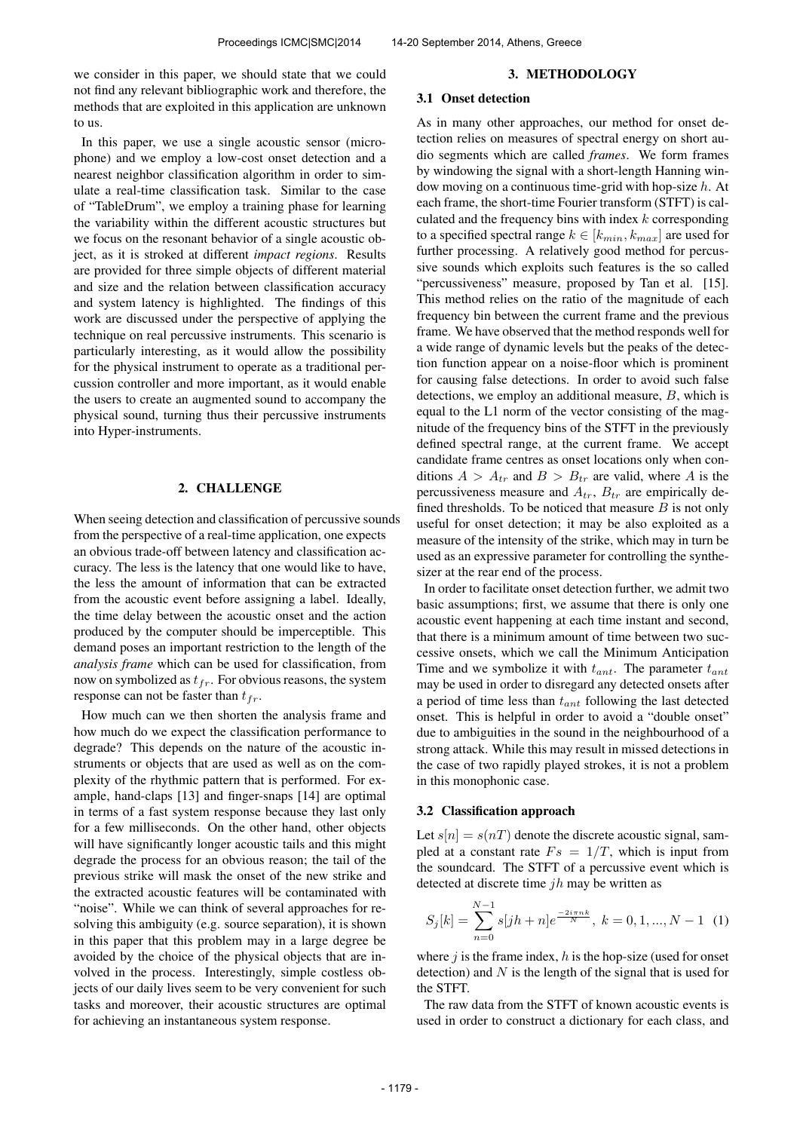we consider in this paper, we should state that we could not find any relevant bibliographic work and therefore, the methods that are exploited in this application are unknown to us.

In this paper, we use a single acoustic sensor (microphone) and we employ a low-cost onset detection and a nearest neighbor classification algorithm in order to simulate a real-time classification task. Similar to the case of "TableDrum", we employ a training phase for learning the variability within the different acoustic structures but we focus on the resonant behavior of a single acoustic object, as it is stroked at different *impact regions*. Results are provided for three simple objects of different material and size and the relation between classification accuracy and system latency is highlighted. The findings of this work are discussed under the perspective of applying the technique on real percussive instruments. This scenario is particularly interesting, as it would allow the possibility for the physical instrument to operate as a traditional percussion controller and more important, as it would enable the users to create an augmented sound to accompany the physical sound, turning thus their percussive instruments into Hyper-instruments.

## 2. CHALLENGE

When seeing detection and classification of percussive sounds from the perspective of a real-time application, one expects an obvious trade-off between latency and classification accuracy. The less is the latency that one would like to have, the less the amount of information that can be extracted from the acoustic event before assigning a label. Ideally, the time delay between the acoustic onset and the action produced by the computer should be imperceptible. This demand poses an important restriction to the length of the *analysis frame* which can be used for classification, from now on symbolized as  $t_{fr}$ . For obvious reasons, the system response can not be faster than  $t_{fr}$ .

How much can we then shorten the analysis frame and how much do we expect the classification performance to degrade? This depends on the nature of the acoustic instruments or objects that are used as well as on the complexity of the rhythmic pattern that is performed. For example, hand-claps [13] and finger-snaps [14] are optimal in terms of a fast system response because they last only for a few milliseconds. On the other hand, other objects will have significantly longer acoustic tails and this might degrade the process for an obvious reason; the tail of the previous strike will mask the onset of the new strike and the extracted acoustic features will be contaminated with "noise". While we can think of several approaches for resolving this ambiguity (e.g. source separation), it is shown in this paper that this problem may in a large degree be avoided by the choice of the physical objects that are involved in the process. Interestingly, simple costless objects of our daily lives seem to be very convenient for such tasks and moreover, their acoustic structures are optimal for achieving an instantaneous system response.

#### 3. METHODOLOGY

# 3.1 Onset detection

As in many other approaches, our method for onset detection relies on measures of spectral energy on short audio segments which are called *frames*. We form frames by windowing the signal with a short-length Hanning window moving on a continuous time-grid with hop-size  $h$ . At each frame, the short-time Fourier transform (STFT) is calculated and the frequency bins with index  $k$  corresponding to a specified spectral range  $k \in [k_{min}, k_{max}]$  are used for further processing. A relatively good method for percussive sounds which exploits such features is the so called "percussiveness" measure, proposed by Tan et al. [15]. This method relies on the ratio of the magnitude of each frequency bin between the current frame and the previous frame. We have observed that the method responds well for a wide range of dynamic levels but the peaks of the detection function appear on a noise-floor which is prominent for causing false detections. In order to avoid such false detections, we employ an additional measure, B, which is equal to the L1 norm of the vector consisting of the magnitude of the frequency bins of the STFT in the previously defined spectral range, at the current frame. We accept candidate frame centres as onset locations only when conditions  $A > A_{tr}$  and  $B > B_{tr}$  are valid, where A is the percussiveness measure and  $A_{tr}$ ,  $B_{tr}$  are empirically defined thresholds. To be noticed that measure  $B$  is not only useful for onset detection; it may be also exploited as a measure of the intensity of the strike, which may in turn be used as an expressive parameter for controlling the synthesizer at the rear end of the process.

In order to facilitate onset detection further, we admit two basic assumptions; first, we assume that there is only one acoustic event happening at each time instant and second, that there is a minimum amount of time between two successive onsets, which we call the Minimum Anticipation Time and we symbolize it with  $t_{ant}$ . The parameter  $t_{ant}$ may be used in order to disregard any detected onsets after a period of time less than  $t_{ant}$  following the last detected onset. This is helpful in order to avoid a "double onset" due to ambiguities in the sound in the neighbourhood of a strong attack. While this may result in missed detections in the case of two rapidly played strokes, it is not a problem in this monophonic case.

## 3.2 Classification approach

Let  $s[n] = s(nT)$  denote the discrete acoustic signal, sampled at a constant rate  $Fs = 1/T$ , which is input from the soundcard. The STFT of a percussive event which is detected at discrete time  $jh$  may be written as

$$
S_j[k] = \sum_{n=0}^{N-1} s[jh+n]e^{\frac{-2i\pi nk}{N}}, \ k = 0, 1, ..., N-1 \quad (1)
$$

where  $j$  is the frame index,  $h$  is the hop-size (used for onset detection) and  $N$  is the length of the signal that is used for the STFT.

The raw data from the STFT of known acoustic events is used in order to construct a dictionary for each class, and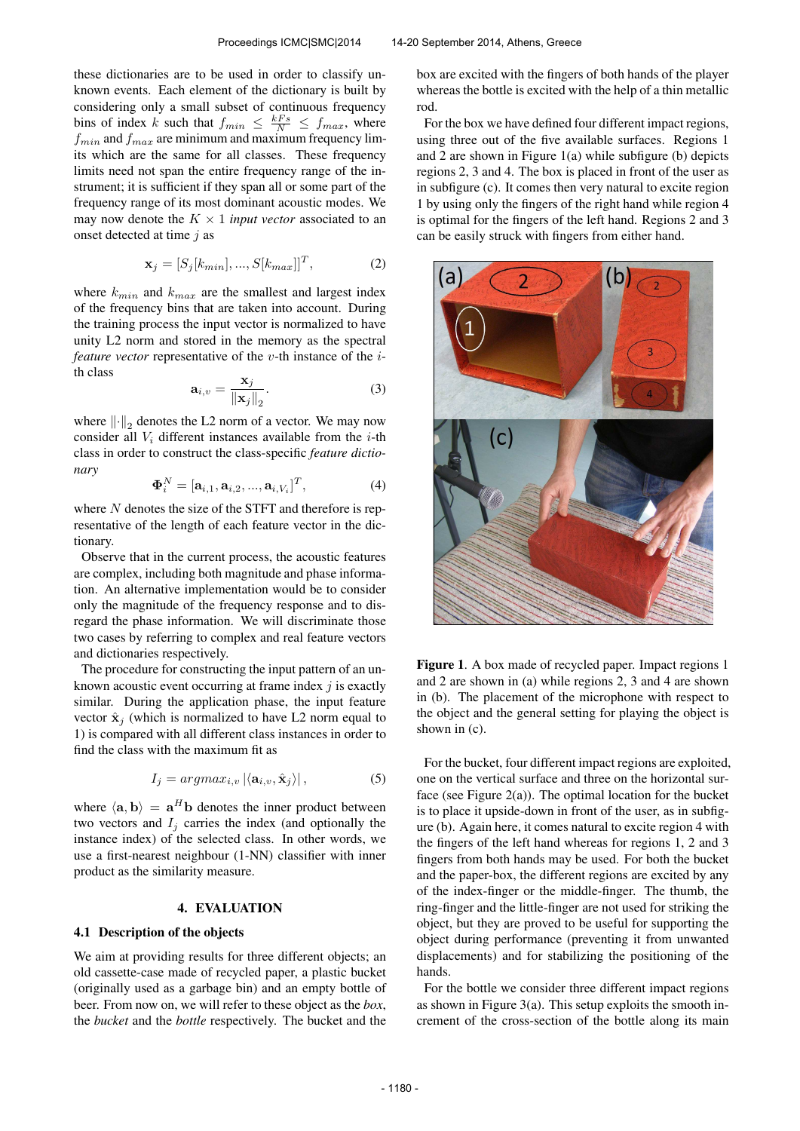these dictionaries are to be used in order to classify unknown events. Each element of the dictionary is built by considering only a small subset of continuous frequency bins of index k such that  $f_{min} \leq \frac{kFs}{N} \leq f_{max}$ , where  $f_{min}$  and  $f_{max}$  are minimum and maximum frequency limits which are the same for all classes. These frequency limits need not span the entire frequency range of the instrument; it is sufficient if they span all or some part of the frequency range of its most dominant acoustic modes. We may now denote the  $K \times 1$  *input vector* associated to an onset detected at time  $j$  as

$$
\mathbf{x}_j = [S_j[k_{min}], ..., S[k_{max}]]^T,
$$
\n(2)

where  $k_{min}$  and  $k_{max}$  are the smallest and largest index of the frequency bins that are taken into account. During the training process the input vector is normalized to have unity L2 norm and stored in the memory as the spectral *feature vector* representative of the *v*-th instance of the *i*th class

$$
\mathbf{a}_{i,v} = \frac{\mathbf{x}_j}{\|\mathbf{x}_j\|_2}.\tag{3}
$$

where  $\left\Vert \cdot\right\Vert _{2}$  denotes the L2 norm of a vector. We may now consider all  $V_i$  different instances available from the *i*-th class in order to construct the class-specific *feature dictionary*

$$
\mathbf{\Phi}_i^N = [\mathbf{a}_{i,1}, \mathbf{a}_{i,2}, ..., \mathbf{a}_{i,V_i}]^T, \tag{4}
$$

where  $N$  denotes the size of the STFT and therefore is representative of the length of each feature vector in the dictionary.

Observe that in the current process, the acoustic features are complex, including both magnitude and phase information. An alternative implementation would be to consider only the magnitude of the frequency response and to disregard the phase information. We will discriminate those two cases by referring to complex and real feature vectors and dictionaries respectively.

The procedure for constructing the input pattern of an unknown acoustic event occurring at frame index  $i$  is exactly similar. During the application phase, the input feature vector  $\hat{\mathbf{x}}_i$  (which is normalized to have L2 norm equal to 1) is compared with all different class instances in order to find the class with the maximum fit as

$$
I_j = argmax_{i,v} |\langle \mathbf{a}_{i,v}, \hat{\mathbf{x}}_j \rangle|, \tag{5}
$$

where  $\langle \mathbf{a}, \mathbf{b} \rangle = \mathbf{a}^H \mathbf{b}$  denotes the inner product between two vectors and  $I_j$  carries the index (and optionally the instance index) of the selected class. In other words, we use a first-nearest neighbour (1-NN) classifier with inner product as the similarity measure.

## 4. EVALUATION

# 4.1 Description of the objects

We aim at providing results for three different objects; an old cassette-case made of recycled paper, a plastic bucket (originally used as a garbage bin) and an empty bottle of beer. From now on, we will refer to these object as the *box*, the *bucket* and the *bottle* respectively. The bucket and the box are excited with the fingers of both hands of the player whereas the bottle is excited with the help of a thin metallic rod.

For the box we have defined four different impact regions, using three out of the five available surfaces. Regions 1 and 2 are shown in Figure 1(a) while subfigure (b) depicts regions 2, 3 and 4. The box is placed in front of the user as in subfigure (c). It comes then very natural to excite region 1 by using only the fingers of the right hand while region 4 is optimal for the fingers of the left hand. Regions 2 and 3 can be easily struck with fingers from either hand.



Figure 1. A box made of recycled paper. Impact regions 1 and 2 are shown in (a) while regions 2, 3 and 4 are shown in (b). The placement of the microphone with respect to the object and the general setting for playing the object is shown in (c).

For the bucket, four different impact regions are exploited, one on the vertical surface and three on the horizontal surface (see Figure  $2(a)$ ). The optimal location for the bucket is to place it upside-down in front of the user, as in subfigure (b). Again here, it comes natural to excite region 4 with the fingers of the left hand whereas for regions 1, 2 and 3 fingers from both hands may be used. For both the bucket and the paper-box, the different regions are excited by any of the index-finger or the middle-finger. The thumb, the ring-finger and the little-finger are not used for striking the object, but they are proved to be useful for supporting the object during performance (preventing it from unwanted displacements) and for stabilizing the positioning of the hands.

For the bottle we consider three different impact regions as shown in Figure  $3(a)$ . This setup exploits the smooth increment of the cross-section of the bottle along its main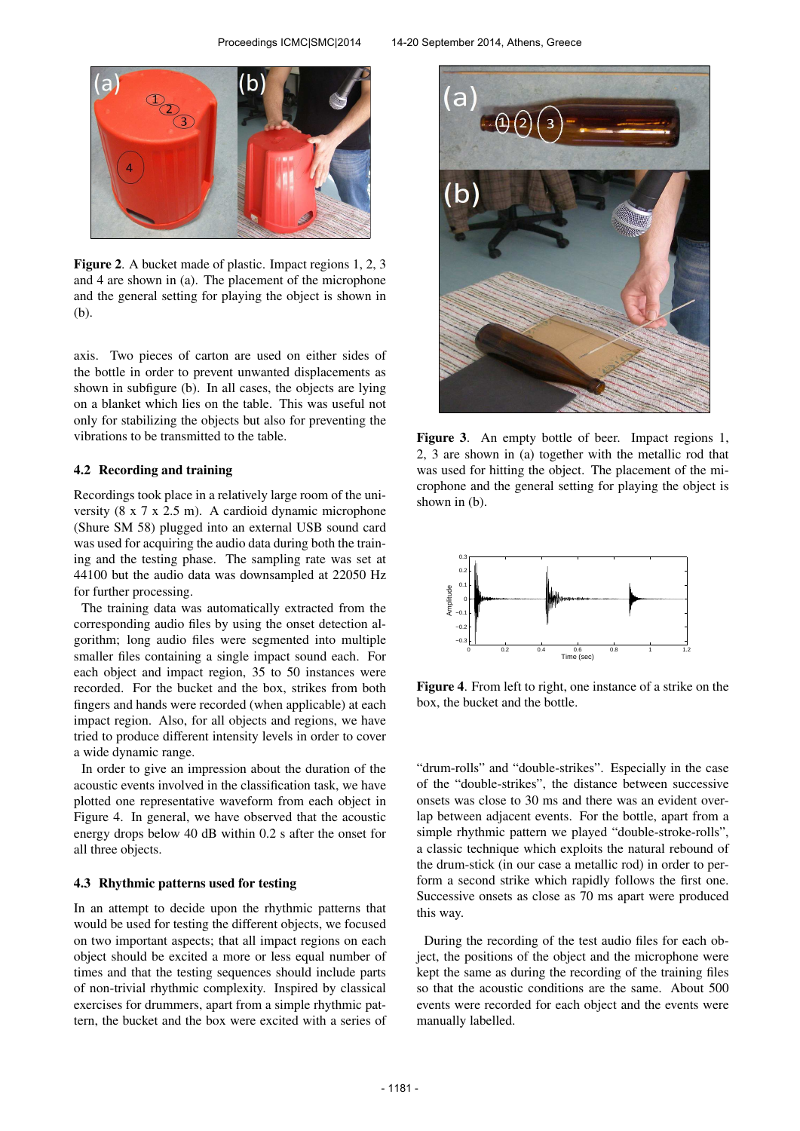

Figure 2. A bucket made of plastic. Impact regions 1, 2, 3 and 4 are shown in (a). The placement of the microphone and the general setting for playing the object is shown in (b).

axis. Two pieces of carton are used on either sides of the bottle in order to prevent unwanted displacements as shown in subfigure (b). In all cases, the objects are lying on a blanket which lies on the table. This was useful not only for stabilizing the objects but also for preventing the vibrations to be transmitted to the table.

## 4.2 Recording and training

Recordings took place in a relatively large room of the university (8 x 7 x 2.5 m). A cardioid dynamic microphone (Shure SM 58) plugged into an external USB sound card was used for acquiring the audio data during both the training and the testing phase. The sampling rate was set at 44100 but the audio data was downsampled at 22050 Hz for further processing.

The training data was automatically extracted from the corresponding audio files by using the onset detection algorithm; long audio files were segmented into multiple smaller files containing a single impact sound each. For each object and impact region, 35 to 50 instances were recorded. For the bucket and the box, strikes from both fingers and hands were recorded (when applicable) at each impact region. Also, for all objects and regions, we have tried to produce different intensity levels in order to cover a wide dynamic range.

In order to give an impression about the duration of the acoustic events involved in the classification task, we have plotted one representative waveform from each object in Figure 4. In general, we have observed that the acoustic energy drops below 40 dB within 0.2 s after the onset for all three objects.

## 4.3 Rhythmic patterns used for testing

In an attempt to decide upon the rhythmic patterns that would be used for testing the different objects, we focused on two important aspects; that all impact regions on each object should be excited a more or less equal number of times and that the testing sequences should include parts of non-trivial rhythmic complexity. Inspired by classical exercises for drummers, apart from a simple rhythmic pattern, the bucket and the box were excited with a series of



Figure 3. An empty bottle of beer. Impact regions 1, 2, 3 are shown in (a) together with the metallic rod that was used for hitting the object. The placement of the microphone and the general setting for playing the object is shown in (b).



Figure 4. From left to right, one instance of a strike on the box, the bucket and the bottle.

"drum-rolls" and "double-strikes". Especially in the case of the "double-strikes", the distance between successive onsets was close to 30 ms and there was an evident overlap between adjacent events. For the bottle, apart from a simple rhythmic pattern we played "double-stroke-rolls", a classic technique which exploits the natural rebound of the drum-stick (in our case a metallic rod) in order to perform a second strike which rapidly follows the first one. Successive onsets as close as 70 ms apart were produced this way.

During the recording of the test audio files for each object, the positions of the object and the microphone were kept the same as during the recording of the training files so that the acoustic conditions are the same. About 500 events were recorded for each object and the events were manually labelled.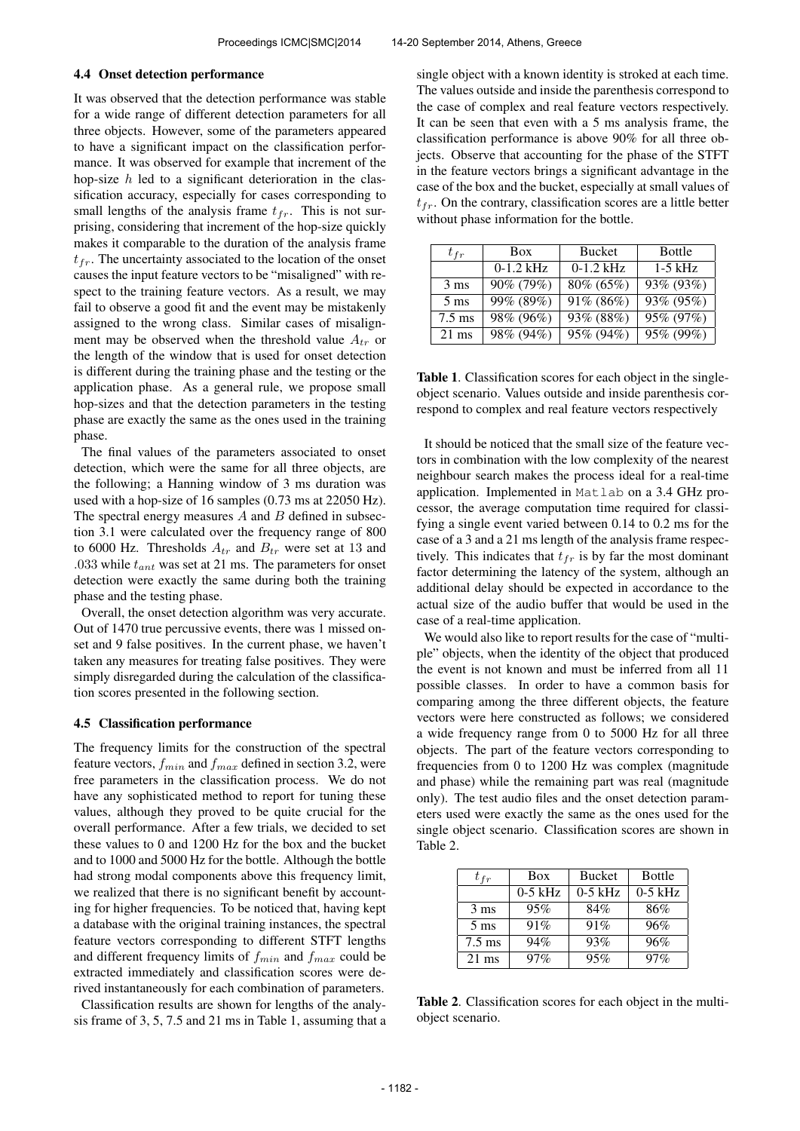#### 4.4 Onset detection performance

It was observed that the detection performance was stable for a wide range of different detection parameters for all three objects. However, some of the parameters appeared to have a significant impact on the classification performance. It was observed for example that increment of the hop-size  $h$  led to a significant deterioration in the classification accuracy, especially for cases corresponding to small lengths of the analysis frame  $t_{fr}$ . This is not surprising, considering that increment of the hop-size quickly makes it comparable to the duration of the analysis frame  $t_{fr}$ . The uncertainty associated to the location of the onset causes the input feature vectors to be "misaligned" with respect to the training feature vectors. As a result, we may fail to observe a good fit and the event may be mistakenly assigned to the wrong class. Similar cases of misalignment may be observed when the threshold value  $A_{tr}$  or the length of the window that is used for onset detection is different during the training phase and the testing or the application phase. As a general rule, we propose small hop-sizes and that the detection parameters in the testing phase are exactly the same as the ones used in the training phase.

The final values of the parameters associated to onset detection, which were the same for all three objects, are the following; a Hanning window of 3 ms duration was used with a hop-size of 16 samples (0.73 ms at 22050 Hz). The spectral energy measures  $A$  and  $B$  defined in subsection 3.1 were calculated over the frequency range of 800 to 6000 Hz. Thresholds  $A_{tr}$  and  $B_{tr}$  were set at 13 and .033 while  $t_{ant}$  was set at 21 ms. The parameters for onset detection were exactly the same during both the training phase and the testing phase.

Overall, the onset detection algorithm was very accurate. Out of 1470 true percussive events, there was 1 missed onset and 9 false positives. In the current phase, we haven't taken any measures for treating false positives. They were simply disregarded during the calculation of the classification scores presented in the following section.

#### 4.5 Classification performance

The frequency limits for the construction of the spectral feature vectors,  $f_{min}$  and  $f_{max}$  defined in section 3.2, were free parameters in the classification process. We do not have any sophisticated method to report for tuning these values, although they proved to be quite crucial for the overall performance. After a few trials, we decided to set these values to 0 and 1200 Hz for the box and the bucket and to 1000 and 5000 Hz for the bottle. Although the bottle had strong modal components above this frequency limit, we realized that there is no significant benefit by accounting for higher frequencies. To be noticed that, having kept a database with the original training instances, the spectral feature vectors corresponding to different STFT lengths and different frequency limits of  $f_{min}$  and  $f_{max}$  could be extracted immediately and classification scores were derived instantaneously for each combination of parameters.

Classification results are shown for lengths of the analysis frame of 3, 5, 7.5 and 21 ms in Table 1, assuming that a single object with a known identity is stroked at each time. The values outside and inside the parenthesis correspond to the case of complex and real feature vectors respectively. It can be seen that even with a 5 ms analysis frame, the classification performance is above 90% for all three objects. Observe that accounting for the phase of the STFT in the feature vectors brings a significant advantage in the case of the box and the bucket, especially at small values of  $t_{fr}$ . On the contrary, classification scores are a little better without phase information for the bottle.

| $t_{fr}$         | <b>Box</b>  | Bucket        | Bottle    |
|------------------|-------------|---------------|-----------|
|                  | $0-1.2$ kHz | $0-1.2$ kHz   | $1-5$ kHz |
| $3 \text{ ms}$   | 90% (79%)   | $80\% (65\%)$ | 93% (93%) |
| $5 \text{ ms}$   | 99% (89%)   | 91% (86%)     | 93% (95%) |
| $7.5 \text{ ms}$ | 98% (96%)   | 93% (88%)     | 95% (97%) |
| $21 \text{ ms}$  | 98% (94%)   | 95% (94%)     | 95% (99%) |

Table 1. Classification scores for each object in the singleobject scenario. Values outside and inside parenthesis correspond to complex and real feature vectors respectively

It should be noticed that the small size of the feature vectors in combination with the low complexity of the nearest neighbour search makes the process ideal for a real-time application. Implemented in Matlab on a 3.4 GHz processor, the average computation time required for classifying a single event varied between 0.14 to 0.2 ms for the case of a 3 and a 21 ms length of the analysis frame respectively. This indicates that  $t_{fr}$  is by far the most dominant factor determining the latency of the system, although an additional delay should be expected in accordance to the actual size of the audio buffer that would be used in the case of a real-time application.

We would also like to report results for the case of "multiple" objects, when the identity of the object that produced the event is not known and must be inferred from all 11 possible classes. In order to have a common basis for comparing among the three different objects, the feature vectors were here constructed as follows; we considered a wide frequency range from 0 to 5000 Hz for all three objects. The part of the feature vectors corresponding to frequencies from 0 to 1200 Hz was complex (magnitude and phase) while the remaining part was real (magnitude only). The test audio files and the onset detection parameters used were exactly the same as the ones used for the single object scenario. Classification scores are shown in Table 2.

| $t_{fr}$         | <b>Box</b> | <b>Bucket</b> | <b>Bottle</b> |
|------------------|------------|---------------|---------------|
|                  | $0-5$ kHz  | $0-5$ kHz     | $0-5$ kHz     |
| $3 \text{ ms}$   | 95%        | 84%           | 86%           |
| $5 \text{ ms}$   | 91%        | 91%           | 96%           |
| $7.5 \text{ ms}$ | 94%        | 93%           | 96%           |
| $21 \text{ ms}$  | 97%        | 95%           | 97%           |

Table 2. Classification scores for each object in the multiobject scenario.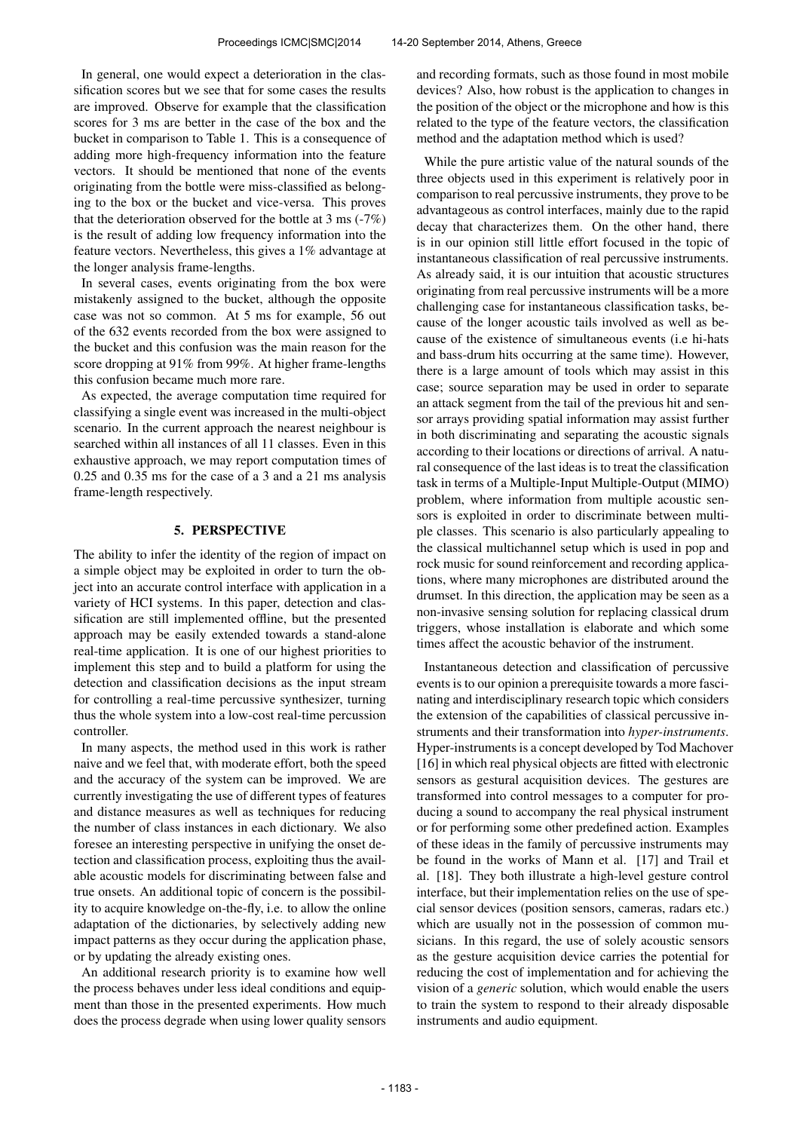In general, one would expect a deterioration in the classification scores but we see that for some cases the results are improved. Observe for example that the classification scores for 3 ms are better in the case of the box and the bucket in comparison to Table 1. This is a consequence of adding more high-frequency information into the feature vectors. It should be mentioned that none of the events originating from the bottle were miss-classified as belonging to the box or the bucket and vice-versa. This proves that the deterioration observed for the bottle at 3 ms (-7%) is the result of adding low frequency information into the feature vectors. Nevertheless, this gives a 1% advantage at the longer analysis frame-lengths.

In several cases, events originating from the box were mistakenly assigned to the bucket, although the opposite case was not so common. At 5 ms for example, 56 out of the 632 events recorded from the box were assigned to the bucket and this confusion was the main reason for the score dropping at 91% from 99%. At higher frame-lengths this confusion became much more rare.

As expected, the average computation time required for classifying a single event was increased in the multi-object scenario. In the current approach the nearest neighbour is searched within all instances of all 11 classes. Even in this exhaustive approach, we may report computation times of 0.25 and 0.35 ms for the case of a 3 and a 21 ms analysis frame-length respectively.

#### 5. PERSPECTIVE

The ability to infer the identity of the region of impact on a simple object may be exploited in order to turn the object into an accurate control interface with application in a variety of HCI systems. In this paper, detection and classification are still implemented offline, but the presented approach may be easily extended towards a stand-alone real-time application. It is one of our highest priorities to implement this step and to build a platform for using the detection and classification decisions as the input stream for controlling a real-time percussive synthesizer, turning thus the whole system into a low-cost real-time percussion controller.

In many aspects, the method used in this work is rather naive and we feel that, with moderate effort, both the speed and the accuracy of the system can be improved. We are currently investigating the use of different types of features and distance measures as well as techniques for reducing the number of class instances in each dictionary. We also foresee an interesting perspective in unifying the onset detection and classification process, exploiting thus the available acoustic models for discriminating between false and true onsets. An additional topic of concern is the possibility to acquire knowledge on-the-fly, i.e. to allow the online adaptation of the dictionaries, by selectively adding new impact patterns as they occur during the application phase, or by updating the already existing ones.

An additional research priority is to examine how well the process behaves under less ideal conditions and equipment than those in the presented experiments. How much does the process degrade when using lower quality sensors and recording formats, such as those found in most mobile devices? Also, how robust is the application to changes in the position of the object or the microphone and how is this related to the type of the feature vectors, the classification method and the adaptation method which is used?

While the pure artistic value of the natural sounds of the three objects used in this experiment is relatively poor in comparison to real percussive instruments, they prove to be advantageous as control interfaces, mainly due to the rapid decay that characterizes them. On the other hand, there is in our opinion still little effort focused in the topic of instantaneous classification of real percussive instruments. As already said, it is our intuition that acoustic structures originating from real percussive instruments will be a more challenging case for instantaneous classification tasks, because of the longer acoustic tails involved as well as because of the existence of simultaneous events (i.e hi-hats and bass-drum hits occurring at the same time). However, there is a large amount of tools which may assist in this case; source separation may be used in order to separate an attack segment from the tail of the previous hit and sensor arrays providing spatial information may assist further in both discriminating and separating the acoustic signals according to their locations or directions of arrival. A natural consequence of the last ideas is to treat the classification task in terms of a Multiple-Input Multiple-Output (MIMO) problem, where information from multiple acoustic sensors is exploited in order to discriminate between multiple classes. This scenario is also particularly appealing to the classical multichannel setup which is used in pop and rock music for sound reinforcement and recording applications, where many microphones are distributed around the drumset. In this direction, the application may be seen as a non-invasive sensing solution for replacing classical drum triggers, whose installation is elaborate and which some times affect the acoustic behavior of the instrument.

Instantaneous detection and classification of percussive events is to our opinion a prerequisite towards a more fascinating and interdisciplinary research topic which considers the extension of the capabilities of classical percussive instruments and their transformation into *hyper-instruments*. Hyper-instruments is a concept developed by Tod Machover [16] in which real physical objects are fitted with electronic sensors as gestural acquisition devices. The gestures are transformed into control messages to a computer for producing a sound to accompany the real physical instrument or for performing some other predefined action. Examples of these ideas in the family of percussive instruments may be found in the works of Mann et al. [17] and Trail et al. [18]. They both illustrate a high-level gesture control interface, but their implementation relies on the use of special sensor devices (position sensors, cameras, radars etc.) which are usually not in the possession of common musicians. In this regard, the use of solely acoustic sensors as the gesture acquisition device carries the potential for reducing the cost of implementation and for achieving the vision of a *generic* solution, which would enable the users to train the system to respond to their already disposable instruments and audio equipment.